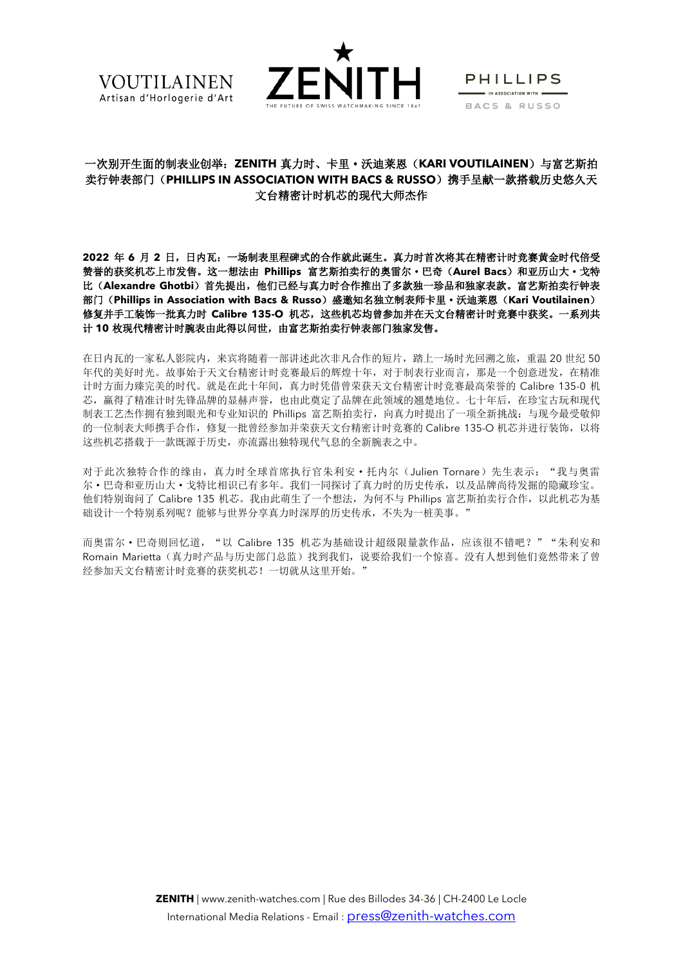



**PHILLIPS**  $\blacksquare$  IN ASSOCIATION WITH  $\blacksquare$ BACS & RUSSO

# 一次别开生面的制表业创举:**ZENITH** 真力时、卡里·沃迪莱恩(**KARI VOUTILAINEN**)与富艺斯拍 卖行钟表部门(PHILLIPS IN ASSOCIATION WITH BACS & RUSSO)携手呈献一款搭载历史悠久天 文台精密计时机芯的现代大师杰作

**2022** 年 **6** 月 **2** 日,日内瓦:一场制表里程碑式的合作就此诞生。真力时首次将其在精密计时竞赛黄金时代倍受 赞誉的获奖机芯上市发售。这一想法由 **Phillips** 富艺斯拍卖行的奥雷尔·巴奇(**Aurel Bacs**)和亚历山大·戈特 比(**Alexandre Ghotbi**)首先提出,他们已经与真力时合作推出了多款独一珍品和独家表款。富艺斯拍卖行钟表 部门(**Phillips in Association with Bacs & Russo**)盛邀知名独立制表师卡里·沃迪莱恩(**Kari Voutilainen**) 修复并手工装饰一批真力时 Calibre 135-O 机芯,这些机芯均曾参加并在天文台精密计时竞赛中获奖。一系列共 计 **10** 枚现代精密计时腕表由此得以问世,由富艺斯拍卖行钟表部门独家发售。

在日内瓦的一家私人影院内,来宾将随着一部讲述此次非凡合作的短片,踏上一场时光回溯之旅,重温 20 世纪 50 年代的美好时光。故事始于天文台精密计时竞赛最后的辉煌十年,对于制表行业而言,那是一个创意迸发,在精准 计时方面力臻完美的时代。就是在此十年间,真力时凭借曾荣获天文台精密计时竞赛最高荣誉的 Calibre 135-0 机 芯,赢得了精准计时先锋品牌的显赫声誉,也由此奠定了品牌在此领域的翘楚地位。七十年后,在珍宝古玩和现代 制表工艺杰作拥有独到眼光和专业知识的 Phillips 富艺斯拍卖行,向真力时提出了一项全新挑战:与现今最受敬仰 的一位制表大师携手合作,修复一批曾经参加并荣获天文台精密计时竞赛的 Calibre 135-O 机芯并进行装饰,以将 这些机芯搭载于一款既源于历史,亦流露出独特现代气息的全新腕表之中。

对于此次独特合作的缘由,真力时全球首席执行官朱利安·托内尔(Julien Tornare)先生表示: "我与奥雷 尔·巴奇和亚历山大·戈特比相识已有多年。我们一同探讨了真力时的历史传承,以及品牌尚待发掘的隐藏珍宝。 他们特别询问了 Calibre 135 机芯。我由此萌生了一个想法,为何不与 Phillips 富艺斯拍卖行合作,以此机芯为基 础设计一个特别系列呢?能够与世界分享真力时深厚的历史传承,不失为一桩美事。"

而奥雷尔·巴奇则回忆道, "以 Calibre 135 机芯为基础设计超级限量款作品,应该很不错吧?""朱利安和 Romain Marietta(真力时产品与历史部门总监)找到我们,说要给我们一个惊喜。没有人想到他们竟然带来了曾 经参加天文台精密计时竞赛的获奖机芯!一切就从这里开始。"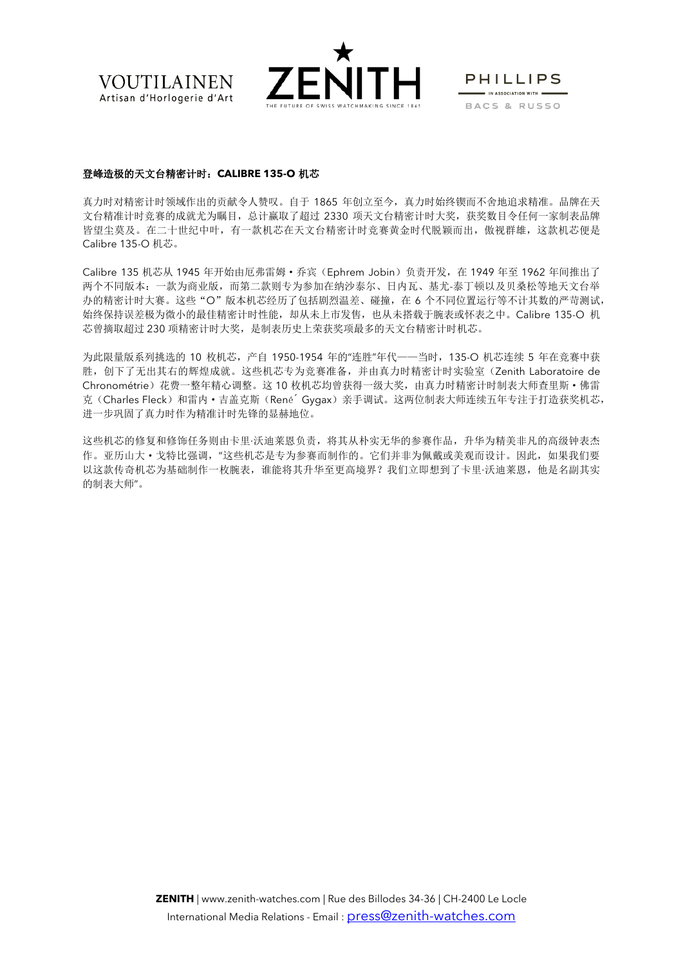



**PHILLIPS**  $\blacksquare$  IN ASSOCIATION WITH  $\blacksquare$ BACS & RUSSO

### 登峰造极的天文台精密计时:**CALIBRE 135-O** 机芯

真力时对精密计时领域作出的贡献令人赞叹。自于 1865 年创立至今,真力时始终锲而不舍地追求精准。品牌在天 文台精准计时竞赛的成就尤为瞩目,总计赢取了超过 2330 项天文台精密计时大奖,获奖数目令任何一家制表品牌 皆望尘莫及。在二十世纪中叶,有一款机芯在天文台精密计时竞赛黄金时代脱颖而出, 傲视群雄, 这款机芯便是 Calibre 135-O 机芯。

Calibre 135 机芯从 1945 年开始由厄弗雷姆·乔宾(Ephrem Jobin)负责开发,在 1949 年至 1962 年间推出了 两个不同版本:一款为商业版,而第二款则专为参加在纳沙泰尔、日内瓦、基尤-泰丁顿以及贝桑松等地天文台举 办的精密计时大赛。这些"O"版本机芯经历了包括剧烈温差、碰撞,在 6 个不同位置运行等不计其数的严苛测试, 始终保持误差极为微小的最佳精密计时性能,却从未上市发售,也从未搭载于腕表或怀表之中。Calibre 135-O 机 芯曾摘取超过 230 项精密计时大奖,是制表历史上荣获奖项最多的天文台精密计时机芯。

为此限量版系列挑选的 10 枚机芯,产自 1950-1954 年的"连胜"年代——当时,135-O 机芯连续 5 年在竞赛中获 胜,创下了无出其右的辉煌成就。这些机芯专为竞赛准备,并由真力时精密计时实验室(Zenith Laboratoire de Chronométrie)花费一整年精心调整。这 10 枚机芯均曾获得一级大奖,由真力时精密计时制表大师查里斯·佛雷 克(Charles Fleck)和雷内·吉盖克斯(René<sup>o</sup> Gygax)亲手调试。这两位制表大师连续五年专注于打造获奖机芯, 进一步巩固了真力时作为精准计时先锋的显赫地位。

这些机芯的修复和修饰任务则由卡里·沃迪莱恩负责,将其从朴实无华的参赛作品,升华为精美非凡的高级钟表杰 作。亚历山大·戈特比强调,"这些机芯是专为参赛而制作的。它们并非为佩戴或美观而设计。因此,如果我们要 以这款传奇机芯为基础制作一枚腕表,谁能将其升华至更高境界?我们立即想到了卡里·沃迪莱恩,他是名副其实 的制表大师"。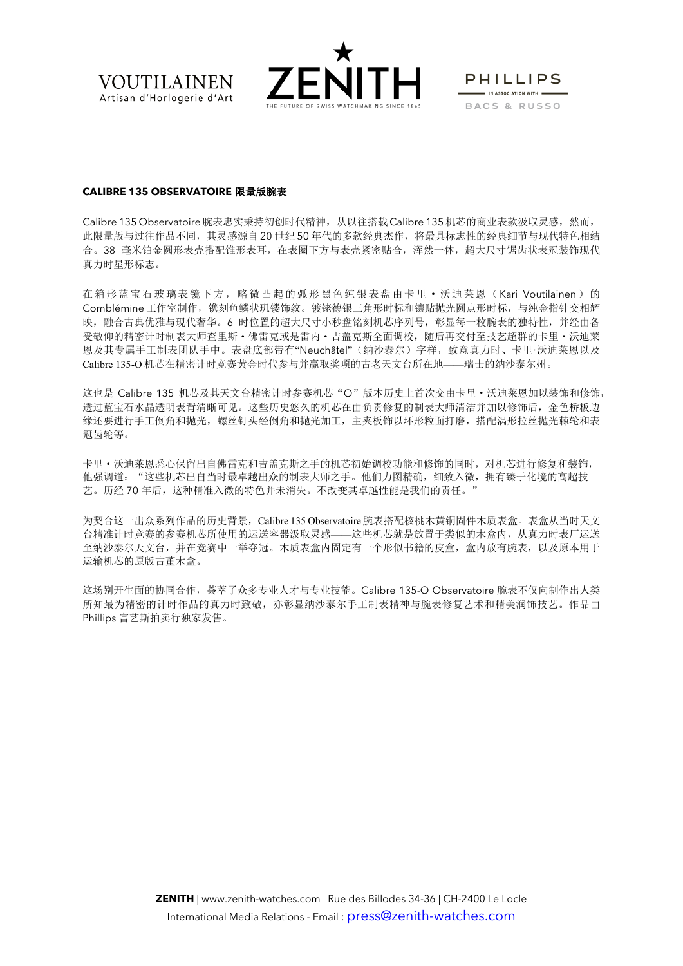



**PHILLIPS**  $\blacksquare$  IN ASSOCIATION WITH  $\blacksquare$ BACS & RUSSO

#### **CALIBRE 135 OBSERVATOIRE** 限量版腕表

Calibre 135 Observatoire 腕表忠实秉持初创时代精神, 从以往搭载 Calibre 135 机芯的商业表款汲取灵感, 然而, 此限量版与过往作品不同,其灵感源自 20 世纪 50 年代的多款经典杰作,将最具标志性的经典细节与现代特色相结 合。38 毫米铂金圆形表壳搭配锥形表耳,在表圈下方与表壳紧密贴合,浑然一体,超大尺寸锯齿状表冠装饰现代 真力时星形标志。

在箱形蓝宝石玻璃表镜下方,略微凸起的弧形黑色纯银表盘由卡里·沃迪莱恩(Kari Voutilainen)的 Comblémine 工作室制作,镌刻鱼鳞状玑镂饰纹。镀铑德银三角形时标和镶贴抛光圆点形时标,与纯金指针交相辉 映,融合古典优雅与现代奢华。6 时位置的超大尺寸小秒盘铭刻机芯序列号,彰显每一枚腕表的独特性,并经由备 受敬仰的精密计时制表大师查里斯·佛雷克或是雷内·吉盖克斯全面调校,随后再交付至技艺超群的卡里·沃迪莱 恩及其专属手工制表团队手中。表盘底部带有"Neuchâtel"(纳沙泰尔)字样,致意真力时、卡里·沃迪莱恩以及 Calibre 135-O 机芯在精密计时竞赛黄金时代参与并赢取奖项的古老天文台所在地——瑞士的纳沙泰尔州。

这也是 Calibre 135 机芯及其天文台精密计时参赛机芯"O"版本历史上首次交由卡里·沃迪莱恩加以装饰和修饰, 透过蓝宝石水晶透明表背清晰可见。这些历史悠久的机芯在由负责修复的制表大师清洁并加以修饰后,金色桥板边 缘还要进行手工倒角和抛光,螺丝钉头经倒角和抛光加工,主夹板饰以环形粒面打磨,搭配涡形拉丝抛光棘轮和表 冠齿轮等。

卡里·沃迪莱恩悉心保留出自佛雷克和吉盖克斯之手的机芯初始调校功能和修饰的同时,对机芯进行修复和装饰, 他强调道:"这些机芯出自当时最卓越出众的制表大师之手。他们力图精确,细致入微,拥有臻于化境的高超技 艺。历经 70 年后,这种精准入微的特色并未消失。不改变其卓越性能是我们的责任。"

为契合这一出众系列作品的历史背景,Calibre 135 Observatoire腕表搭配核桃木黄铜固件木质表盒。表盒从当时天文 台精准计时竞赛的参赛机芯所使用的运送容器汲取灵感——这些机芯就是放置于类似的木盒内,从真力时表厂运送 至纳沙泰尔天文台,并在竞赛中一举夺冠。木质表盒内固定有一个形似书籍的皮盒,盒内放有腕表,以及原本用于 运输机芯的原版古董木盒。

这场别开生面的协同合作,荟萃了众多专业人才与专业技能。Calibre 135-O Observatoire 腕表不仅向制作出人类 所知最为精密的计时作品的真力时致敬,亦彰显纳沙泰尔手工制表精神与腕表修复艺术和精美润饰技艺。作品由 Phillips 富艺斯拍卖行独家发售。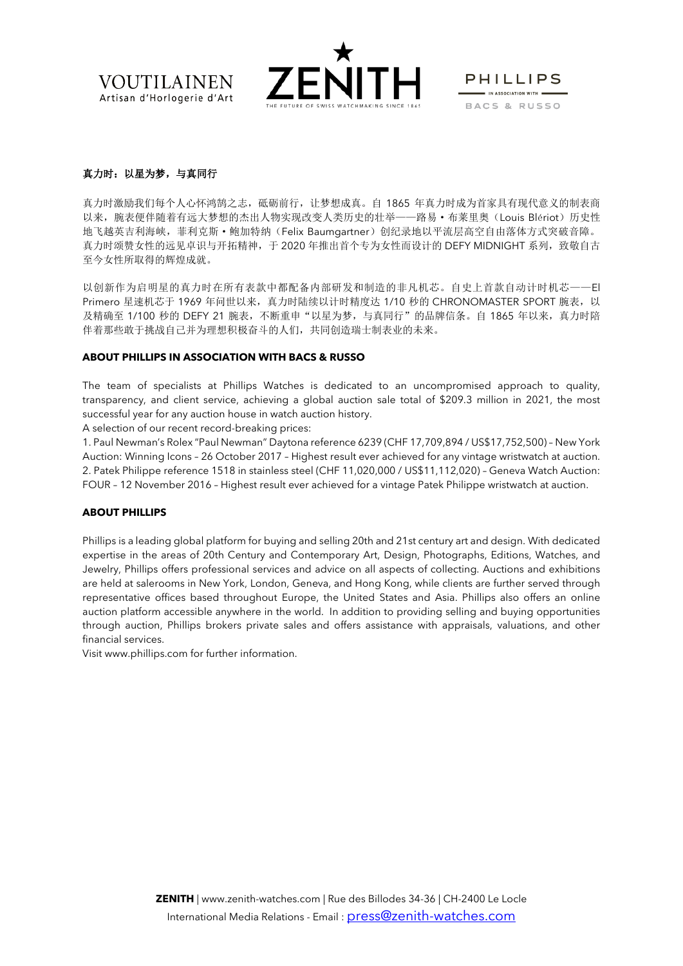**VOUTILAINEN** Artisan d'Horlogerie d'Art



**PHILLIPS**  $\equiv$  IN ASSOCIATION WITH  $\equiv$ BACS & RUSSO

# 真力时:以星为梦,与真同行

真力时激励我们每个人心怀鸿鹄之志,砥砺前行,让梦想成真。自 1865 年真力时成为首家具有现代意义的制表商 以来,腕表便伴随着有远大梦想的杰出人物实现改变人类历史的壮举——路易·布莱里奥(Louis Blériot)历史性 地飞越英吉利海峡,菲利克斯·鲍加特纳(Felix Baumgartner)创纪录地以平流层高空自由落体方式突破音障。 真力时颂赞女性的远见卓识与开拓精神,于 2020 年推出首个专为女性而设计的 DEFY MIDNIGHT 系列,致敬自古 至今女性所取得的辉煌成就。

以创新作为启明星的真力时在所有表款中都配备内部研发和制造的非凡机芯。自史上首款自动计时机芯——El Primero 星速机芯于 1969 年问世以来, 真力时陆续以计时精度达 1/10 秒的 CHRONOMASTER SPORT 腕表, 以 及精确至 1/100 秒的 DEFY 21 腕表,不断重申"以星为梦,与真同行"的品牌信条。自 1865 年以来, 真力时陪 伴着那些敢于挑战自己并为理想积极奋斗的人们,共同创造瑞士制表业的未来。

#### **ABOUT PHILLIPS IN ASSOCIATION WITH BACS & RUSSO**

The team of specialists at Phillips Watches is dedicated to an uncompromised approach to quality, transparency, and client service, achieving a global auction sale total of \$209.3 million in 2021, the most successful year for any auction house in watch auction history.

A selection of our recent record-breaking prices:

1. Paul Newman's Rolex "Paul Newman" Daytona reference 6239 (CHF 17,709,894 / US\$17,752,500) – New York Auction: Winning Icons – 26 October 2017 – Highest result ever achieved for any vintage wristwatch at auction. 2. Patek Philippe reference 1518 in stainless steel (CHF 11,020,000 / US\$11,112,020) – Geneva Watch Auction: FOUR – 12 November 2016 – Highest result ever achieved for a vintage Patek Philippe wristwatch at auction.

### **ABOUT PHILLIPS**

Phillips is a leading global platform for buying and selling 20th and 21st century art and design. With dedicated expertise in the areas of 20th Century and Contemporary Art, Design, Photographs, Editions, Watches, and Jewelry, Phillips offers professional services and advice on all aspects of collecting. Auctions and exhibitions are held at salerooms in New York, London, Geneva, and Hong Kong, while clients are further served through representative offices based throughout Europe, the United States and Asia. Phillips also offers an online auction platform accessible anywhere in the world. In addition to providing selling and buying opportunities through auction, Phillips brokers private sales and offers assistance with appraisals, valuations, and other financial services.

Visit [www.phillips.com](https://urldefense.com/v3/__http:/www.phillips.com/__;!!Lt0KOR8!Q324Ki59Bjj6G4GqG-dOsi67Z3bXE3JPwr2dbx71bEIbu8Ig6XxW4k_oVmivL5qmvEoIVoqJSiblUsr1IndfNMA-nVM$) for further information.